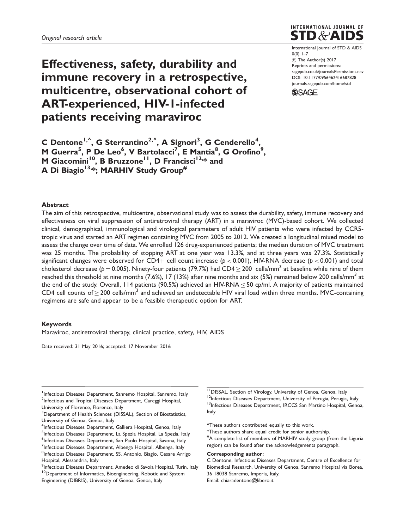# Effectiveness, safety, durability and immune recovery in a retrospective, multicentre, observational cohort of ART-experienced, HIV-1-infected patients receiving maraviroc



International Journal of STD & AIDS  $0(0)$  1-7  $\circled{c}$  The Author(s) 2017 Reprints and permissions: [sagepub.co.uk/journalsPermissions.nav](https://uk.sagepub.com/en-gb/journals-permissions) DOI: [10.1177/0956462416687828](https://doi.org/10.1177/0956462416687828) <journals.sagepub.com/home/std>



C Dentone<sup>1,^</sup>, G Sterrantino<sup>2,^</sup>, A Signori<sup>3</sup>, G Cenderello<sup>4</sup>, M Guerra<sup>5</sup>, P De Leo<sup>6</sup>, V Bartolacci<sup>7</sup>, E Mantia<sup>8</sup>, G Orofino<sup>9</sup>, M Giacomini<sup>10</sup>, B Bruzzone<sup>11</sup>, D Francisci<sup>12,\*</sup> and A Di Biagio<sup>13,\*</sup>; MARHIV Study Group<sup>#</sup>

## Abstract

The aim of this retrospective, multicentre, observational study was to assess the durability, safety, immune recovery and effectiveness on viral suppression of antiretroviral therapy (ART) in a maraviroc (MVC)-based cohort. We collected clinical, demographical, immunological and virological parameters of adult HIV patients who were infected by CCR5 tropic virus and started an ART regimen containing MVC from 2005 to 2012. We created a longitudinal mixed model to assess the change over time of data. We enrolled 126 drug-experienced patients; the median duration of MVC treatment was 25 months. The probability of stopping ART at one year was 13.3%, and at three years was 27.3%. Statistically significant changes were observed for CD4+ cell count increase ( $p < 0.001$ ), HIV-RNA decrease ( $p < 0.001$ ) and total cholesterol decrease (p = 0.005). Ninety-four patients (79.7%) had CD4  $\geq$  200 cells/mm<sup>3</sup> at baseline while nine of them reached this threshold at nine months  $(7.6\%)$ , 17 (13%) after nine months and six (5%) remained below 200 cells/mm<sup>3</sup> at the end of the study. Overall, 114 patients (90.5%) achieved an HIV-RNA  $\leq$  50 cp/ml. A majority of patients maintained CD4 cell counts of  $\geq$  200 cells/mm<sup>3</sup> and achieved an undetectable HIV viral load within three months. MVC-containing regimens are safe and appear to be a feasible therapeutic option for ART.

### Keywords

Maraviroc, antiretroviral therapy, clinical practice, safety, HIV, AIDS

Date received: 31 May 2016; accepted: 17 November 2016

<sup>1</sup>Infectious Diseases Department, Sanremo Hospital, Sanremo, Italy <sup>2</sup>Infectious and Tropical Diseases Department, Careggi Hospital, University of Florence, Florence, Italy

<sup>3</sup>Department of Health Sciences (DISSAL), Section of Biostatistics, University of Genoa, Genoa, Italy

<sup>4</sup>Infectious Diseases Department, Galliera Hospital, Genoa, Italy

<sup>5</sup>Infectious Diseases Department, La Spezia Hospital, La Spezia, Italy

- <sup>6</sup>Infectious Diseases Department, San Paolo Hospital, Savona, Italy
- <sup>7</sup>Infectious Diseases Department, Albenga Hospital, Albenga, Italy <sup>8</sup>Infectious Diseases Department, SS. Antonio, Biagio, Cesare Arrigo
- Hospital, Alessandria, Italy
- <sup>9</sup>Infectious Diseases Department, Amedeo di Savoia Hospital, Turin, Italy <sup>10</sup>Department of Informatics, Bioengineering, Robotic and System Engineering (DIBRIS), University of Genoa, Genoa, Italy

<sup>11</sup> DISSAL, Section of Virology, University of Genoa, Genoa, Italy

<sup>12</sup>Infectious Diseases Department, University of Perugia, Perugia, Italy

<sup>13</sup>Infectious Diseases Department, IRCCS San Martino Hospital, Genoa, Italy

^These authors contributed equally to this work.

\*These authors share equal credit for senior authorship.

# A complete list of members of MARHIV study group (from the Liguria region) can be found after the acknowledgements paragraph.

#### Corresponding author:

C Dentone, Infectious Diseases Department, Centre of Excellence for Biomedical Research, University of Genoa, Sanremo Hospital via Borea, 36 18038 Sanremo, Imperia, Italy. Email: chiaradentone@libero.it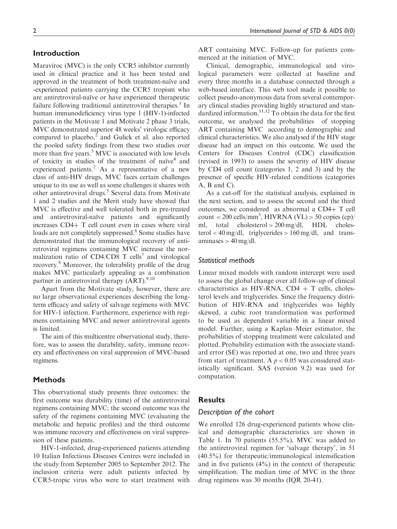# Introduction

Maraviroc (MVC) is the only CCR5 inhibitor currently used in clinical practice and it has been tested and approved in the treatment of both treatment-naïve and -experienced patients carrying the CCR5 tropism who are antiretroviral-naïve or have experienced therapeutic failure following traditional antiretroviral therapies.<sup>1</sup> In human immunodeficiency virus type 1 (HIV-1)-infected patients in the Motivate 1 and Motivate 2 phase 3 trials, MVC demonstrated superior 48 weeks' virologic efficacy compared to placebo, $<sup>2</sup>$  and Gulick et al. also reported</sup> the pooled safety findings from these two studies over more than five years.<sup>3</sup> MVC is associated with low levels of toxicity in studies of the treatment of naïve<sup>4</sup> and experienced patients.<sup>2</sup> As a representative of a new class of anti-HIV drugs, MVC faces certain challenges unique to its use as well as some challenges it shares with other antiretroviral drugs.<sup>5</sup> Several data from Motivate 1 and 2 studies and the Merit study have showed that MVC is effective and well tolerated both in pre-treated and antiretroviral-naïve patients and significantly increases  $CD4+T$  cell count even in cases where viral loads are not completely suppressed.<sup>6</sup> Some studies have demonstrated that the immunological recovery of antiretroviral regimens containing MVC increase the normalization ratio of  $CD4/CD8$  T cells<sup>7</sup> and virological recovery.8 Moreover, the tolerability profile of the drug makes MVC particularly appealing as a combination partner in antiretroviral therapy  $(ART).^{9,10}$ 

Apart from the Motivate study, however, there are no large observational experiences describing the longterm efficacy and safety of salvage regimens with MVC for HIV-1 infection. Furthermore, experience with regimens containing MVC and newer antiretroviral agents is limited.

The aim of this multicentre observational study, therefore, was to assess the durability, safety, immune recovery and effectiveness on viral suppression of MVC-based regimens.

# Methods

This observational study presents three outcomes: the first outcome was durability (time) of the antiretroviral regimens containing MVC; the second outcome was the safety of the regimens containing MVC (evaluating the metabolic and hepatic profiles) and the third outcome was immune recovery and effectiveness on viral suppression of these patients.

HIV-1-infected, drug-experienced patients attending 10 Italian Infectious Diseases Centres were included in the study from September 2005 to September 2012. The inclusion criteria were adult patients infected by CCR5-tropic virus who were to start treatment with ART containing MVC. Follow-up for patients commenced at the initiation of MVC.

Clinical, demographic, immunological and virological parameters were collected at baseline and every three months in a database connected through a web-based interface. This web tool made it possible to collect pseudo-anonymous data from several contemporary clinical studies providing highly structured and standardized information.<sup>11,12</sup> To obtain the data for the first outcome, we analysed the probabilities of stopping ART containing MVC according to demographic and clinical characteristics. We also analysed if the HIV stage disease had an impact on this outcome. We used the Centers for Diseases Control (CDC) classification (revised in 1993) to assess the severity of HIV disease by CD4 cell count (categories 1, 2 and 3) and by the presence of specific HIV-related conditions (categories A, B and C).

As a cut-off for the statistical analysis, explained in the next section, and to assess the second and the third outcomes, we considered as abnormal a  $CD4+T$  cell  $count < 200$  cells/mm<sup>3</sup>, HIVRNA (VL) > 50 copies (cp)/ ml, total cholesterol > 200 mg/dl, HDL cholesterol < 40 mg/dl, triglycerides > 160 mg/dl, and transaminases  $> 40$  mg/dl.

## Statistical methods

Linear mixed models with random intercept were used to assess the global change over all follow-up of clinical characteristics as HIV-RNA,  $CD4 + T$  cells, cholesterol levels and triglycerides. Since the frequency distribution of HIV-RNA and triglycerides was highly skewed, a cubic root transformation was performed to be used as dependent variable in a linear mixed model. Further, using a Kaplan–Meier estimator, the probabilities of stopping treatment were calculated and plotted. Probability estimation with the associate standard error (SE) was reported at one, two and three years from start of treatment. A  $p < 0.05$  was considered statistically significant. SAS (version 9.2) was used for computation.

#### Results

# Description of the cohort

We enrolled 126 drug-experienced patients whose clinical and demographic characteristics are shown in Table 1. In 70 patients (55.5%), MVC was added to the antiretroviral regimen for 'salvage therapy', in 51 (40.5%) for therapeutic/immunological intensification and in five patients (4%) in the context of therapeutic simplification. The median time of MVC in the three drug regimens was 30 months (IQR 20-41).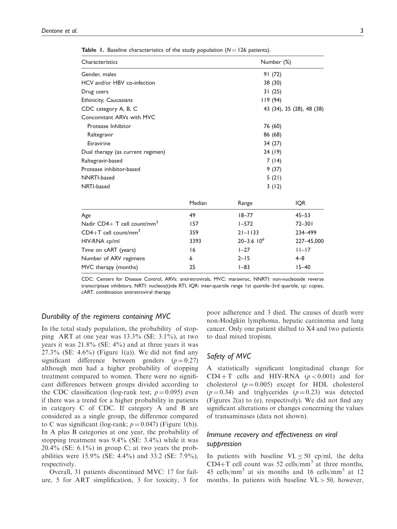| Characteristics                         |         | Number (%)                |            |  |
|-----------------------------------------|---------|---------------------------|------------|--|
| Gender, males                           |         | 91 (72)                   |            |  |
| HCV and/or HBV co-infection             |         | 38 (30)                   |            |  |
| Drug users                              |         | 31(25)                    |            |  |
| Ethinicity, Caucasians                  |         | 119(94)                   |            |  |
| CDC category A, B, C                    |         | 43 (34), 35 (28), 48 (38) |            |  |
| Concomitant ARVs with MVC               |         |                           |            |  |
| Protease Inhibitor                      | 76 (60) |                           |            |  |
| Raltegravir                             |         |                           | 86 (68)    |  |
| Etravirine                              | 34(27)  |                           |            |  |
| Dual therapy (as current regimen)       |         | 24 (19)                   |            |  |
| Raltegravir-based                       |         | 7(14)                     |            |  |
| Protease inhibitor-based                |         | 9(37)                     |            |  |
| NNRTI-based                             |         | 5(21)                     |            |  |
| NRTI-based                              | 3(12)   |                           |            |  |
|                                         | Median  | Range                     | IQR        |  |
| Age                                     | 49      | $18 - 77$                 | $45 - 53$  |  |
| Nadir CD4+ T cell count/mm <sup>3</sup> | 157     | $1 - 572$                 | $72 - 301$ |  |
| $CD4+T$ cell count/mm <sup>3</sup>      | 359     | $21 - 1133$               | 234-499    |  |
| HIV-RNA cp/ml                           | 3393    | $20 - 3.6$ $10^6$         | 227-45,000 |  |
| Time on cART (years)                    | 16      | $1 - 27$                  | $ 1 -17$   |  |
| Number of ARV regimens                  | 6       | $2 - 15$                  | $4 - 8$    |  |
| MVC therapy (months)                    | 25      | $I - 83$                  | $15 - 40$  |  |

**Table 1.** Baseline characteristics of the study population  $(N = 126$  patients).

CDC: Centers for Disease Control, ARVs: antiretrovirals, MVC: maraviroc, NNRTI: non-nucleoside reverse transcriptase inhibitors, NRTI: nucleos(t)ide RTI, IQR: inter-quartile range 1st quartile–3rd quartile, cp: copies, cART: combination antiretroviral therapy.

# Durability of the regimens containing MVC

In the total study population, the probability of stopping ART at one year was 13.3% (SE: 3.1%), at two years it was 21.8% (SE: 4%) and at three years it was  $27.3\%$  (SE: 4.6%) (Figure 1(a)). We did not find any significant difference between genders  $(p=0.27)$ although men had a higher probability of stopping treatment compared to women. There were no significant differences between groups divided according to the CDC classification (log-rank test;  $p = 0.095$ ) even if there was a trend for a higher probability in patients in category C of CDC. If category A and B are considered as a single group, the difference compared to C was significant (log-rank;  $p = 0.047$ ) (Figure 1(b)). In A plus B categories at one year, the probability of stopping treatment was 9.4% (SE: 3.4%) while it was  $20.4\%$  (SE: 6.1%) in group C; at two years the probabilities were 15.9% (SE: 4.4%) and 33.2 (SE: 7.9%), respectively.

Overall, 31 patients discontinued MVC: 17 for failure, 5 for ART simplification, 3 for toxicity, 3 for poor adherence and 3 died. The causes of death were non-Hodgkin lymphoma, hepatic carcinoma and lung cancer. Only one patient shifted to X4 and two patients to dual mixed tropism.

# Safety of MVC

A statistically significant longitudinal change for  $CD4+T$  cells and HIV-RNA ( $p < 0.001$ ) and for cholesterol ( $p = 0.005$ ) except for HDL cholesterol  $(p = 0.34)$  and triglycerides  $(p = 0.23)$  was detected (Figures 2(a) to (e), respectively). We did not find any significant alterations or changes concerning the values of transaminases (data not shown).

# Immune recovery and effectiveness on viral suppression

In patients with baseline  $VL \le 50$  cp/ml, the delta CD4+T cell count was 52 cells/mm<sup>3</sup> at three months, 45 cells/mm<sup>3</sup> at six months and 16 cells/mm<sup>3</sup> at 12 months. In patients with baseline  $VL > 50$ , however,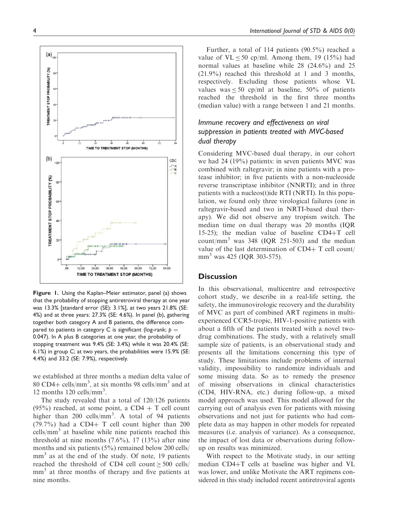

Figure 1. Using the Kaplan–Meier estimator, panel (a) shows that the probability of stopping antiretroviral therapy at one year was 13.3% [standard error (SE): 3.1%], at two years 21.8% (SE: 4%) and at three years: 27.3% (SE: 4.6%). In panel (b), gathering together both category A and B patients, the difference compared to patients in category C is significant (log-rank;  $p =$ 0.047). In A plus B categories at one year, the probability of stopping treatment was 9.4% (SE: 3.4%) while it was 20.4% (SE: 6.1%) in group C; at two years, the probabilities were 15.9% (SE: 4.4%) and 33.2 (SE: 7.9%), respectively.

we established at three months a median delta value of 80 CD4+ cells/mm<sup>3</sup>, at six months 98 cells/mm<sup>3</sup> and at 12 months 120 cells/mm<sup>3</sup>.

The study revealed that a total of 120/126 patients (95%) reached, at some point, a CD4  $+$  T cell count higher than 200 cells/mm<sup>3</sup>. A total of 94 patients  $(79.7%)$  had a CD4+ T cell count higher than 200 cells/mm<sup>3</sup> at baseline while nine patients reached this threshold at nine months  $(7.6\%)$ , 17  $(13\%)$  after nine months and six patients (5%) remained below 200 cells/  $mm<sup>3</sup>$  as at the end of the study. Of note, 19 patients reached the threshold of CD4 cell count  $\geq 500$  cells/ mm<sup>3</sup> at three months of therapy and five patients at nine months.

Further, a total of 114 patients (90.5%) reached a value of  $VL < 50$  cp/ml. Among them, 19 (15%) had normal values at baseline while 28 (24.6%) and 25 (21.9%) reached this threshold at 1 and 3 months, respectively. Excluding those patients whose VL values was  $\leq 50$  cp/ml at baseline,  $50\%$  of patients reached the threshold in the first three months (median value) with a range between 1 and 21 months.

# Immune recovery and effectiveness on viral suppression in patients treated with MVC-based dual therapy

Considering MVC-based dual therapy, in our cohort we had 24 (19%) patients: in seven patients MVC was combined with raltegravir; in nine patients with a protease inhibitor; in five patients with a non-nucleoside reverse transcriptase inhibitor (NNRTI); and in three patients with a nucleos(t)ide RTI (NRTI). In this population, we found only three virological failures (one in raltegravir-based and two in NRTI-based dual therapy). We did not observe any tropism switch. The median time on dual therapy was 20 months (IQR 15-25); the median value of baseline  $CD4+T$  cell count/mm<sup>3</sup> was  $348$  (IQR 251-503) and the median value of the last determination of  $CD4+T$  cell count/ mm<sup>3</sup> was 425 (IQR 303-575).

## **Discussion**

In this observational, multicentre and retrospective cohort study, we describe in a real-life setting, the safety, the immunovirologic recovery and the durability of MVC as part of combined ART regimens in multiexperienced CCR5-tropic, HIV-1-positive patients with about a fifth of the patients treated with a novel twodrug combinations. The study, with a relatively small sample size of patients, is an observational study and presents all the limitations concerning this type of study. These limitations include problems of internal validity, impossibility to randomize individuals and some missing data. So as to remedy the presence of missing observations in clinical characteristics (CD4, HIV-RNA, etc.) during follow-up, a mixed model approach was used. This model allowed for the carrying out of analysis even for patients with missing observations and not just for patients who had complete data as may happen in other models for repeated measures (i.e. analysis of variance). As a consequence, the impact of lost data or observations during followup on results was minimized.

With respect to the Motivate study, in our setting median  $CD4+T$  cells at baseline was higher and VL was lower, and unlike Motivate the ART regimens considered in this study included recent antiretroviral agents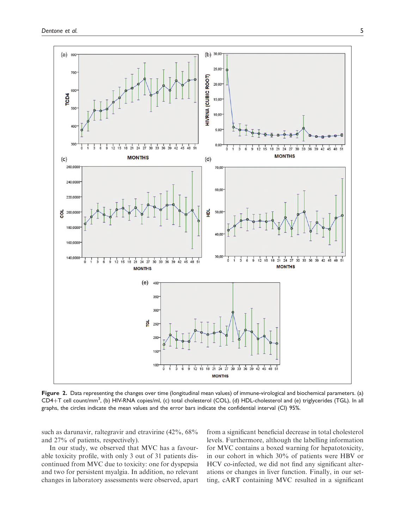

Figure 2. Data representing the changes over time (longitudinal mean values) of immune-virological and biochemical parameters. (a) CD4+T cell count/mm<sup>3</sup>, (b) HIV-RNA copies/ml, (c) total cholesterol (COL), (d) HDL-cholesterol and (e) triglycerides (TGL). In all graphs, the circles indicate the mean values and the error bars indicate the confidential interval (CI) 95%.

such as darunavir, raltegravir and etravirine (42%, 68% and 27% of patients, respectively).

In our study, we observed that MVC has a favourable toxicity profile, with only 3 out of 31 patients discontinued from MVC due to toxicity: one for dyspepsia and two for persistent myalgia. In addition, no relevant changes in laboratory assessments were observed, apart from a significant beneficial decrease in total cholesterol levels. Furthermore, although the labelling information for MVC contains a boxed warning for hepatotoxicity, in our cohort in which 30% of patients were HBV or HCV co-infected, we did not find any significant alterations or changes in liver function. Finally, in our setting, cART containing MVC resulted in a significant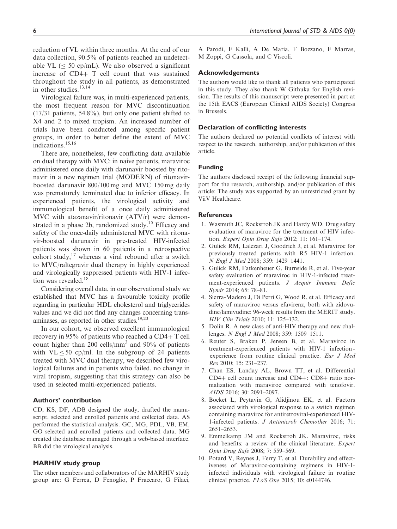reduction of VL within three months. At the end of our data collection, 90.5% of patients reached an undetectable VL ( $\leq$  50 cp/mL). We also observed a significant increase of  $CD4+T$  cell count that was sustained throughout the study in all patients, as demonstrated in other studies.<sup>13,14</sup>

Virological failure was, in multi-experienced patients, the most frequent reason for MVC discontinuation (17/31 patients, 54.8%), but only one patient shifted to X4 and 2 to mixed tropism. An increased number of trials have been conducted among specific patient groups, in order to better define the extent of MVC indications.15,16

There are, nonetheless, few conflicting data available on dual therapy with MVC: in naive patients, maraviroc administered once daily with darunavir boosted by ritonavir in a new regimen trial (MODERN) of ritonavirboosted darunavir 800/100 mg and MVC 150 mg daily was prematurely terminated due to inferior efficacy. In experienced patients, the virological activity and immunological benefit of a once daily administered MVC with atazanavir/ritonavir (ATV/r) were demonstrated in a phase 2b, randomized study.<sup>15</sup> Efficacy and safety of the once-daily administered MVC with ritonavir-boosted darunavir in pre-treated HIV-infected patients was shown in 60 patients in a retrospective cohort study, $17$  whereas a viral rebound after a switch to MVC/raltegravir dual therapy in highly experienced and virologically suppressed patients with HIV-1 infection was revealed.<sup>18</sup>

Considering overall data, in our observational study we established that MVC has a favourable toxicity profile regarding in particular HDL cholesterol and triglycerides values and we did not find any changes concerning transaminases, as reported in other studies.19,20

In our cohort, we observed excellent immunological recovery in  $95\%$  of patients who reached a CD4+ T cell count higher than 200 cells/mm<sup>3</sup> and 90% of patients with  $VL \le 50$  cp/ml. In the subgroup of 24 patients treated with MVC dual therapy, we described few virological failures and in patients who failed, no change in viral tropism, suggesting that this strategy can also be used in selected multi-experienced patients.

# Authors' contribution

CD, KS, DF, ADB designed the study, drafted the manuscript, selected and enrolled patients and collected data. AS performed the statistical analysis. GC, MG, PDL, VB, EM, GO selected and enrolled patients and collected data. MG created the database managed through a web-based interface. BB did the virological analysis.

#### MARHIV study group

The other members and collaborators of the MARHIV study group are: G Ferrea, D Fenoglio, P Fraccaro, G Filaci, A Parodi, F Kalli, A De Maria, F Bozzano, F Marras, M Zoppi, G Cassola, and C Viscoli.

#### Acknowledgements

The authors would like to thank all patients who participated in this study. They also thank W Githuka for English revision. The results of this manuscript were presented in part at the 15th EACS (European Clinical AIDS Society) Congress in Brussels.

## Declaration of conflicting interests

The authors declared no potential conflicts of interest with respect to the research, authorship, and/or publication of this article.

# Funding

The authors disclosed receipt of the following financial support for the research, authorship, and/or publication of this article: The study was supported by an unrestricted grant by ViiV Healthcare.

#### **References**

- 1. Wasmuth JC, Rockstroh JK and Hardy WD. Drug safety evaluation of maraviroc for the treatment of HIV infection. Expert Opin Drug Safe 2012; 11: 161–174.
- 2. Gulick RM, Lalezari J, Goodrich J, et al. Maraviroc for previously treated patients with R5 HIV-1 infection. N Engl J Med 2008; 359: 1429–1441.
- 3. Gulick RM, Fatkenheuer G, Burnside R, et al. Five-year safety evaluation of maraviroc in HIV-1-infected treatment-experienced patients. J Acquir Immune Defic Syndr 2014; 65: 78–81.
- 4. Sierra-Madero J, Di Perri G, Wood R, et al. Efficacy and safety of maraviroc versus efavirenz, both with zidovudine/lamivudine: 96-week results from the MERIT study. HIV Clin Trials 2010; 11: 125–132.
- 5. Dolin R. A new class of anti-HIV therapy and new challenges. N Engl J Med 2008; 359: 1509–1511.
- 6. Reuter S, Braken P, Jensen B, et al. Maraviroc in treatment-experienced patients with HIV-1 infection experience from routine clinical practice. Eur J Med Res 2010; 15: 231–237.
- 7. Chan ES, Landay AL, Brown TT, et al. Differential  $CD4+$  cell count increase and  $CD4+$ :  $CD8+$  ratio normalization with maraviroc compared with tenofovir. AIDS 2016; 30: 2091–2097.
- 8. Bocket L, Peytavin G, Alidjinou EK, et al. Factors associated with virological response to a switch regimen containing maraviroc for antiretroviral-experienced HIV-1-infected patients. J Antimicrob Chemother 2016; 71: 2651–2653.
- 9. Emmelkamp JM and Rockstroh JK. Maraviroc, risks and benefits: a review of the clinical literature. Expert Opin Drug Safe 2008; 7: 559–569.
- 10. Potard V, Reynes J, Ferry T, et al. Durability and effectiveness of Maraviroc-containing regimens in HIV-1 infected individuals with virological failure in routine clinical practice. PLoS One 2015; 10: e0144746.